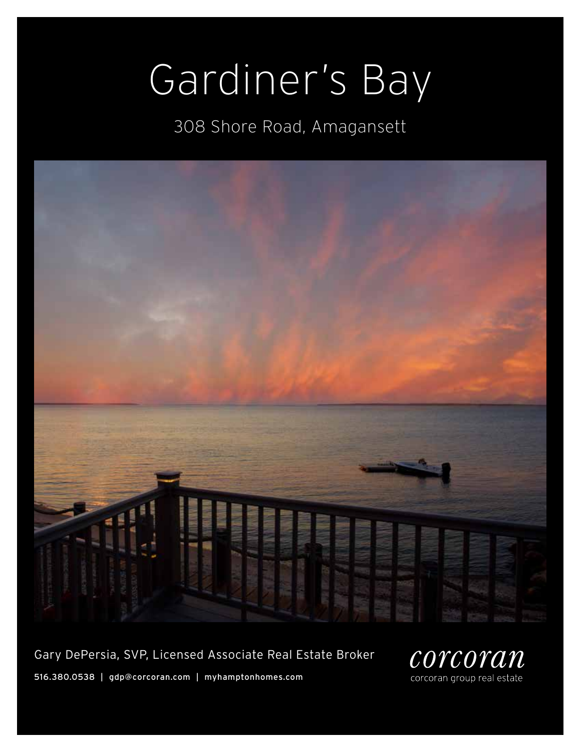# Gardiner's Bay

308 Shore Road, Amagansett



Gary DePersia, SVP, Licensed Associate Real Estate Broker

516.380.0538 | gdp@corcoran.com | myhamptonhomes.com

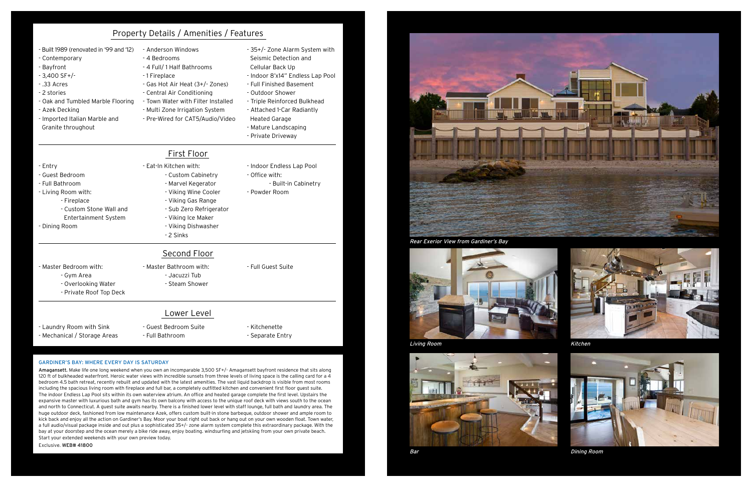#### Gardiner's Bay: where Every day is saturday

Amagansett. Make life one long weekend when you own an incomparable 3,500 SF+/- Amagansett bayfront residence that sits along 120 ft of bulkheaded waterfront. Heroic water views with incredible sunsets from three levels of living space is the calling card for a 4 bedroom 4.5 bath retreat, recently rebuilt and updated with the latest amenities. The vast liquid backdrop is visible from most rooms including the spacious living room with fireplace and full bar, a completely outfitted kitchen and convenient first floor guest suite. The indoor Endless Lap Pool sits within its own waterview atrium. An office and heated garage complete the first level. Upstairs the expansive master with luxurious bath and gym has its own balcony with access to the unique roof deck with views south to the ocean and north to Connecticut. A guest suite awaits nearby. There is a finished lower level with staff lounge, full bath and laundry area. The huge outdoor deck, fashioned from low maintenance Azek, offers custom built-in stone barbeque, outdoor shower and ample room to kick back and enjoy all the action on Gardiner's Bay. Moor your boat right out back or hang out on your own wooden float. Town water, a full audio/visual package inside and out plus a sophisticated 35+/- zone alarm system complete this extraordinary package. With the bay at your doorstep and the ocean merely a bike ride away, enjoy boating. windsurfing and jetskiing from your own private beach. Start your extended weekends with your own preview today.

#### Exclusive. WEB# 41800



|                                                                                                                                                                                                                                        | Property Details / Amenities / Features                                                                                                                                                                                                                       |                                                                                                                                                                                                                                                                                                     |
|----------------------------------------------------------------------------------------------------------------------------------------------------------------------------------------------------------------------------------------|---------------------------------------------------------------------------------------------------------------------------------------------------------------------------------------------------------------------------------------------------------------|-----------------------------------------------------------------------------------------------------------------------------------------------------------------------------------------------------------------------------------------------------------------------------------------------------|
| - Built 1989 (renovated in '99 and '12)<br>- Contemporary<br>- Bayfront<br>$-3,400$ SF+/-<br>$-0.33$ Acres<br>-2 stories<br>- Oak and Tumbled Marble Flooring<br>- Azek Decking<br>- Imported Italian Marble and<br>Granite throughout | - Anderson Windows<br>- 4 Bedrooms<br>- 4 Full/ 1 Half Bathrooms<br>-1 Fireplace<br>- Gas Hot Air Heat (3+/- Zones)<br>- Central Air Conditioning<br>- Town Water with Filter Installed<br>- Multi Zone Irrigation System<br>- Pre-Wired for CAT5/Audio/Video | - 35+/- Zone Alarm System with<br>Seismic Detection and<br>Cellular Back Up<br>- Indoor 8'x14" Endless Lap Pool<br>- Full Finished Basement<br>- Outdoor Shower<br>- Triple Reinforced Bulkhead<br>- Attached 1-Car Radiantly<br><b>Heated Garage</b><br>- Mature Landscaping<br>- Private Driveway |
| - Entry<br>- Guest Bedroom<br>- Full Bathroom<br>- Living Room with:<br>- Fireplace<br>- Custom Stone Wall and<br>Entertainment System<br>- Dining Room                                                                                | First Floor<br>- Eat-In Kitchen with:<br>- Custom Cabinetry<br>- Marvel Kegerator<br>- Viking Wine Cooler<br>- Viking Gas Range<br>- Sub Zero Refrigerator<br>- Viking Ice Maker<br>- Viking Dishwasher<br>- 2 Sinks                                          | - Indoor Endless Lap Pool<br>- Office with:<br>- Built-in Cabinetry<br>- Powder Room                                                                                                                                                                                                                |
| - Master Bedroom with:<br>- Gym Area<br>- Overlooking Water<br>- Private Roof Top Deck                                                                                                                                                 | Second Floor<br>- Master Bathroom with:<br>- Jacuzzi Tub<br>- Steam Shower                                                                                                                                                                                    | - Full Guest Suite                                                                                                                                                                                                                                                                                  |
| - Laundry Room with Sink<br>- Mechanical / Storage Areas                                                                                                                                                                               | Lower Level<br>- Guest Bedroom Suite<br>- Full Bathroom                                                                                                                                                                                                       | - Kitchenette<br>- Separate Entry                                                                                                                                                                                                                                                                   |

### Property Details / Amenities / Features

Rear Exerior View from Gardiner's Bay



Living Room



Bar



Kitchen



Dining Room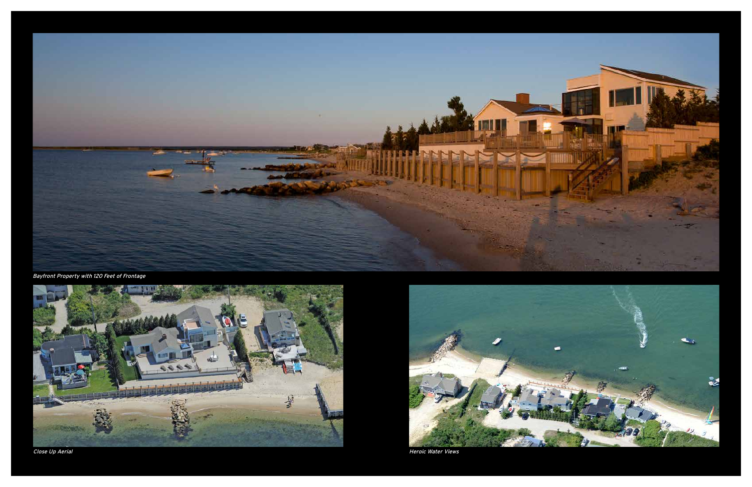

Bayfront Property with 120 Feet of Frontage



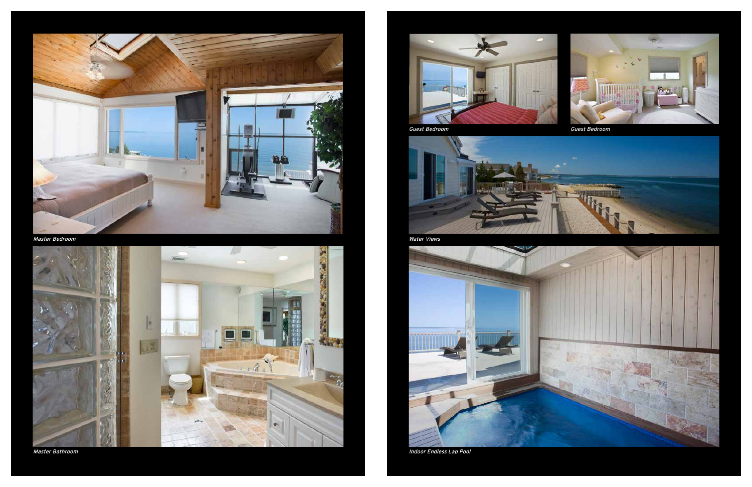

Master Bedroom







Water Views